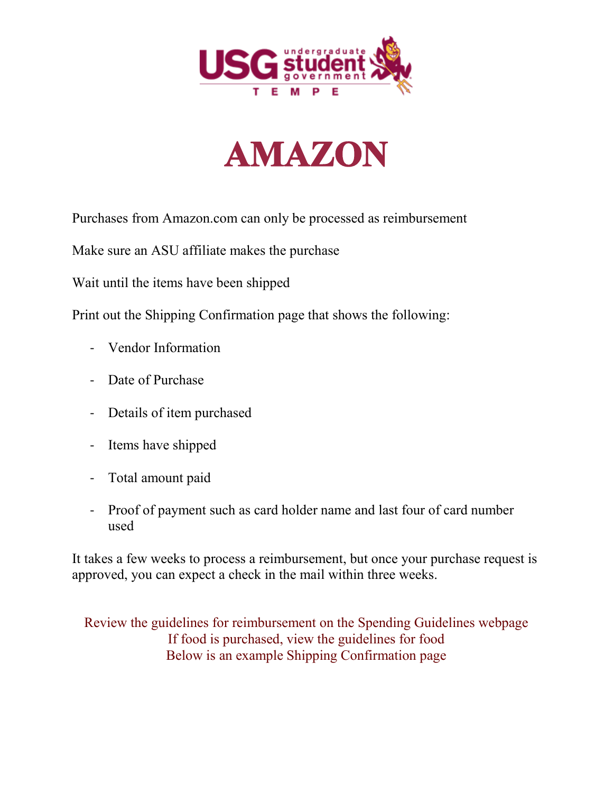



Purchases from Amazon.com can only be processed as reimbursement

Make sure an ASU affiliate makes the purchase

Wait until the items have been shipped

Print out the Shipping Confirmation page that shows the following:

- Vendor Information
- Date of Purchase
- Details of item purchased
- Items have shipped
- Total amount paid
- Proof of payment such as card holder name and last four of card number used

It takes a few weeks to process a reimbursement, but once your purchase request is approved, you can expect a check in the mail within three weeks.

Review the guidelines for reimbursement on the Spending Guidelines webpage If food is purchased, view the guidelines for food Below is an example Shipping Confirmation page